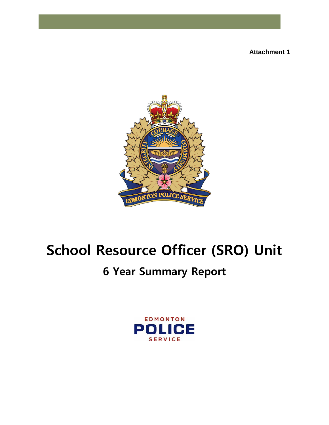

# **School Resource Officer (SRO) Unit**

# **6 Year Summary Report**

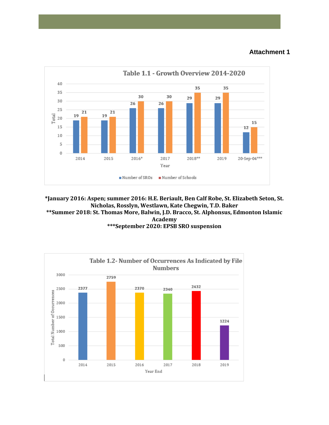

**\*January 2016: Aspen; summer 2016: H.E. Beriault, Ben Calf Robe, St. Elizabeth Seton, St. Nicholas, Rosslyn, Westlawn, Kate Chegwin, T.D. Baker \*\*Summer 2018: St. Thomas More, Balwin, J.D. Bracco, St. Alphonsus, Edmonton Islamic Academy**

#### **\*\*\*September 2020: EPSB SRO suspension**

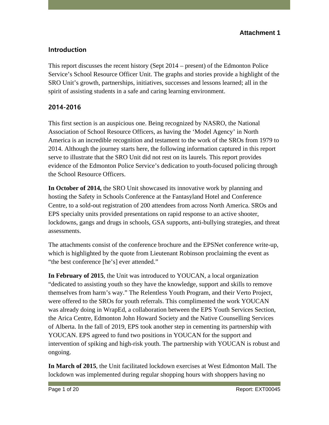# **Introduction**

This report discusses the recent history (Sept 2014 – present) of the Edmonton Police Service's School Resource Officer Unit. The graphs and stories provide a highlight of the SRO Unit's growth, partnerships, initiatives, successes and lessons learned; all in the spirit of assisting students in a safe and caring learning environment.

# **2014-2016**

This first section is an auspicious one. Being recognized by NASRO, the National Association of School Resource Officers, as having the 'Model Agency' in North America is an incredible recognition and testament to the work of the SROs from 1979 to 2014. Although the journey starts here, the following information captured in this report serve to illustrate that the SRO Unit did not rest on its laurels. This report provides evidence of the Edmonton Police Service's dedication to youth-focused policing through the School Resource Officers.

**In October of 2014,** the SRO Unit showcased its innovative work by planning and hosting the Safety in Schools Conference at the Fantasyland Hotel and Conference Centre, to a sold-out registration of 200 attendees from across North America. SROs and EPS specialty units provided presentations on rapid response to an active shooter, lockdowns, gangs and drugs in schools, GSA supports, anti-bullying strategies, and threat assessments.

The attachments consist of the conference brochure and the EPSNet conference write-up, which is highlighted by the quote from Lieutenant Robinson proclaiming the event as "the best conference [he's] ever attended."

**In February of 2015**, the Unit was introduced to YOUCAN, a local organization "dedicated to assisting youth so they have the knowledge, support and skills to remove themselves from harm's way." The Relentless Youth Program, and their Verto Project, were offered to the SROs for youth referrals. This complimented the work YOUCAN was already doing in WrapEd, a collaboration between the EPS Youth Services Section, the Arica Centre, Edmonton John Howard Society and the Native Counselling Services of Alberta. In the fall of 2019, EPS took another step in cementing its partnership with YOUCAN. EPS agreed to fund two positions in YOUCAN for the support and intervention of spiking and high-risk youth. The partnership with YOUCAN is robust and ongoing.

**In March of 2015**, the Unit facilitated lockdown exercises at West Edmonton Mall. The lockdown was implemented during regular shopping hours with shoppers having no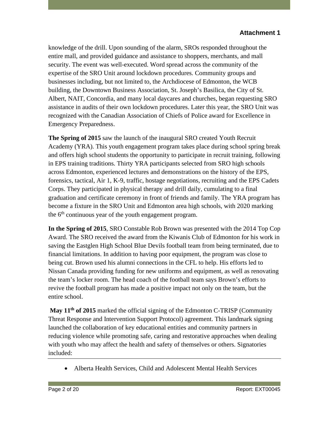knowledge of the drill. Upon sounding of the alarm, SROs responded throughout the entire mall, and provided guidance and assistance to shoppers, merchants, and mall security. The event was well-executed. Word spread across the community of the expertise of the SRO Unit around lockdown procedures. Community groups and businesses including, but not limited to, the Archdiocese of Edmonton, the WCB building, the Downtown Business Association, St. Joseph's Basilica, the City of St. Albert, NAIT, Concordia, and many local daycares and churches, began requesting SRO assistance in audits of their own lockdown procedures. Later this year, the SRO Unit was recognized with the Canadian Association of Chiefs of Police award for Excellence in Emergency Preparedness.

**The Spring of 2015** saw the launch of the inaugural SRO created Youth Recruit Academy (YRA). This youth engagement program takes place during school spring break and offers high school students the opportunity to participate in recruit training, following in EPS training traditions. Thirty YRA participants selected from SRO high schools across Edmonton, experienced lectures and demonstrations on the history of the EPS, forensics, tactical, Air 1, K-9, traffic, hostage negotiations, recruiting and the EPS Cadets Corps. They participated in physical therapy and drill daily, cumulating to a final graduation and certificate ceremony in front of friends and family. The YRA program has become a fixture in the SRO Unit and Edmonton area high schools, with 2020 marking the  $6<sup>th</sup>$  continuous year of the youth engagement program.

**In the Spring of 2015**, SRO Constable Rob Brown was presented with the 2014 Top Cop Award. The SRO received the award from the Kiwanis Club of Edmonton for his work in saving the Eastglen High School Blue Devils football team from being terminated, due to financial limitations. In addition to having poor equipment, the program was close to being cut. Brown used his alumni connections in the CFL to help. His efforts led to Nissan Canada providing funding for new uniforms and equipment, as well as renovating the team's locker room. The head coach of the football team says Brown's efforts to revive the football program has made a positive impact not only on the team, but the entire school.

May 11<sup>th</sup> of 2015 marked the official signing of the Edmonton C-TRISP (Community Threat Response and Intervention Support Protocol) agreement. This landmark signing launched the collaboration of key educational entities and community partners in reducing violence while promoting safe, caring and restorative approaches when dealing with youth who may affect the health and safety of themselves or others. Signatories included:

• Alberta Health Services, Child and Adolescent Mental Health Services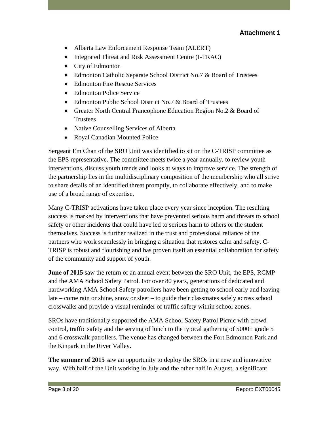- Alberta Law Enforcement Response Team (ALERT)
- Integrated Threat and Risk Assessment Centre (I-TRAC)
- City of Edmonton
- Edmonton Catholic Separate School District No.7 & Board of Trustees
- Edmonton Fire Rescue Services
- Edmonton Police Service
- Edmonton Public School District No.7 & Board of Trustees
- Greater North Central Francophone Education Region No.2 & Board of Trustees
- Native Counselling Services of Alberta
- Royal Canadian Mounted Police

Sergeant Em Chan of the SRO Unit was identified to sit on the C-TRISP committee as the EPS representative. The committee meets twice a year annually, to review youth interventions, discuss youth trends and looks at ways to improve service. The strength of the partnership lies in the multidisciplinary composition of the membership who all strive to share details of an identified threat promptly, to collaborate effectively, and to make use of a broad range of expertise.

Many C-TRISP activations have taken place every year since inception. The resulting success is marked by interventions that have prevented serious harm and threats to school safety or other incidents that could have led to serious harm to others or the student themselves. Success is further realized in the trust and professional reliance of the partners who work seamlessly in bringing a situation that restores calm and safety. C-TRISP is robust and flourishing and has proven itself an essential collaboration for safety of the community and support of youth.

**June of 2015** saw the return of an annual event between the SRO Unit, the EPS, RCMP and the AMA School Safety Patrol. For over 80 years, generations of dedicated and hardworking AMA School Safety patrollers have been getting to school early and leaving late – come rain or shine, snow or sleet – to guide their classmates safely across school crosswalks and provide a visual reminder of traffic safety within school zones.

SROs have traditionally supported the AMA School Safety Patrol Picnic with crowd control, traffic safety and the serving of lunch to the typical gathering of 5000+ grade 5 and 6 crosswalk patrollers. The venue has changed between the Fort Edmonton Park and the Kinpark in the River Valley.

**The summer of 2015** saw an opportunity to deploy the SROs in a new and innovative way. With half of the Unit working in July and the other half in August, a significant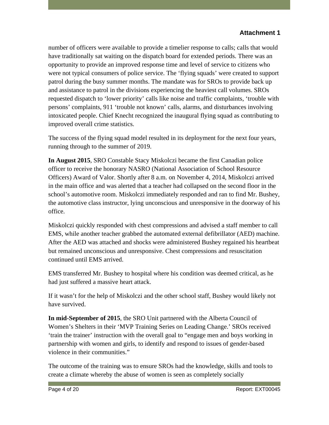number of officers were available to provide a timelier response to calls; calls that would have traditionally sat waiting on the dispatch board for extended periods. There was an opportunity to provide an improved response time and level of service to citizens who were not typical consumers of police service. The 'flying squads' were created to support patrol during the busy summer months. The mandate was for SROs to provide back up and assistance to patrol in the divisions experiencing the heaviest call volumes. SROs requested dispatch to 'lower priority' calls like noise and traffic complaints, 'trouble with persons' complaints, 911 'trouble not known' calls, alarms, and disturbances involving intoxicated people. Chief Knecht recognized the inaugural flying squad as contributing to improved overall crime statistics.

The success of the flying squad model resulted in its deployment for the next four years, running through to the summer of 2019.

**In August 2015**, SRO Constable Stacy Miskolczi became the first Canadian police officer to receive the honorary NASRO (National Association of School Resource Officers) Award of Valor. Shortly after 8 a.m. on November 4, 2014, Miskolczi arrived in the main office and was alerted that a teacher had collapsed on the second floor in the school's automotive room. Miskolczi immediately responded and ran to find Mr. Bushey, the automotive class instructor, lying unconscious and unresponsive in the doorway of his office.

Miskolczi quickly responded with chest compressions and advised a staff member to call EMS, while another teacher grabbed the automated external defibrillator (AED) machine. After the AED was attached and shocks were administered Bushey regained his heartbeat but remained unconscious and unresponsive. Chest compressions and resuscitation continued until EMS arrived.

EMS transferred Mr. Bushey to hospital where his condition was deemed critical, as he had just suffered a massive heart attack.

If it wasn't for the help of Miskolczi and the other school staff, Bushey would likely not have survived.

**In mid-September of 2015**, the SRO Unit partnered with the Alberta Council of Women's Shelters in their 'MVP Training Series on Leading Change.' SROs received 'train the trainer' instruction with the overall goal to "engage men and boys working in partnership with women and girls, to identify and respond to issues of gender-based violence in their communities."

The outcome of the training was to ensure SROs had the knowledge, skills and tools to create a climate whereby the abuse of women is seen as completely socially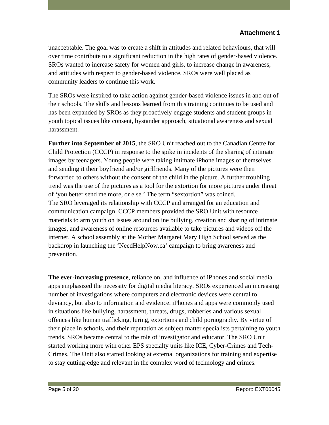unacceptable. The goal was to create a shift in attitudes and related behaviours, that will over time contribute to a significant reduction in the high rates of gender-based violence. SROs wanted to increase safety for women and girls, to increase change in awareness, and attitudes with respect to gender-based violence. SROs were well placed as community leaders to continue this work.

The SROs were inspired to take action against gender-based violence issues in and out of their schools. The skills and lessons learned from this training continues to be used and has been expanded by SROs as they proactively engage students and student groups in youth topical issues like consent, bystander approach, situational awareness and sexual harassment.

**Further into September of 2015**, the SRO Unit reached out to the Canadian Centre for Child Protection (CCCP) in response to the spike in incidents of the sharing of intimate images by teenagers. Young people were taking intimate iPhone images of themselves and sending it their boyfriend and/or girlfriends. Many of the pictures were then forwarded to others without the consent of the child in the picture. A further troubling trend was the use of the pictures as a tool for the extortion for more pictures under threat of 'you better send me more, or else.' The term "sextortion" was coined. The SRO leveraged its relationship with CCCP and arranged for an education and communication campaign. CCCP members provided the SRO Unit with resource materials to arm youth on issues around online bullying, creation and sharing of intimate images, and awareness of online resources available to take pictures and videos off the internet. A school assembly at the Mother Margaret Mary High School served as the backdrop in launching the 'NeedHelpNow.ca' campaign to bring awareness and prevention.

**The ever-increasing presence**, reliance on, and influence of iPhones and social media apps emphasized the necessity for digital media literacy. SROs experienced an increasing number of investigations where computers and electronic devices were central to deviancy, but also to information and evidence. iPhones and apps were commonly used in situations like bullying, harassment, threats, drugs, robberies and various sexual offences like human trafficking, luring, extortions and child pornography. By virtue of their place in schools, and their reputation as subject matter specialists pertaining to youth trends, SROs became central to the role of investigator and educator. The SRO Unit started working more with other EPS specialty units like ICE, Cyber-Crimes and Tech-Crimes. The Unit also started looking at external organizations for training and expertise to stay cutting-edge and relevant in the complex word of technology and crimes.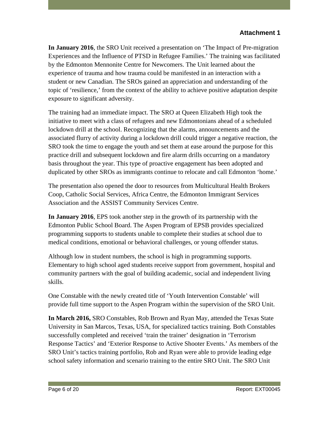**In January 2016**, the SRO Unit received a presentation on 'The Impact of Pre-migration Experiences and the Influence of PTSD in Refugee Families.' The training was facilitated by the Edmonton Mennonite Centre for Newcomers. The Unit learned about the experience of trauma and how trauma could be manifested in an interaction with a student or new Canadian. The SROs gained an appreciation and understanding of the topic of 'resilience,' from the context of the ability to achieve positive adaptation despite exposure to significant adversity.

The training had an immediate impact. The SRO at Queen Elizabeth High took the initiative to meet with a class of refugees and new Edmontonians ahead of a scheduled lockdown drill at the school. Recognizing that the alarms, announcements and the associated flurry of activity during a lockdown drill could trigger a negative reaction, the SRO took the time to engage the youth and set them at ease around the purpose for this practice drill and subsequent lockdown and fire alarm drills occurring on a mandatory basis throughout the year. This type of proactive engagement has been adopted and duplicated by other SROs as immigrants continue to relocate and call Edmonton 'home.'

The presentation also opened the door to resources from Multicultural Health Brokers Coop, Catholic Social Services, Africa Centre, the Edmonton Immigrant Services Association and the ASSIST Community Services Centre.

**In January 2016**, EPS took another step in the growth of its partnership with the Edmonton Public School Board. The Aspen Program of EPSB provides specialized programming supports to students unable to complete their studies at school due to medical conditions, emotional or behavioral challenges, or young offender status.

Although low in student numbers, the school is high in programming supports. Elementary to high school aged students receive support from government, hospital and community partners with the goal of building academic, social and independent living skills.

One Constable with the newly created title of 'Youth Intervention Constable' will provide full time support to the Aspen Program within the supervision of the SRO Unit.

**In March 2016,** SRO Constables, Rob Brown and Ryan May, attended the Texas State University in San Marcos, Texas, USA, for specialized tactics training. Both Constables successfully completed and received 'train the trainer' designation in 'Terrorism Response Tactics' and 'Exterior Response to Active Shooter Events.' As members of the SRO Unit's tactics training portfolio, Rob and Ryan were able to provide leading edge school safety information and scenario training to the entire SRO Unit. The SRO Unit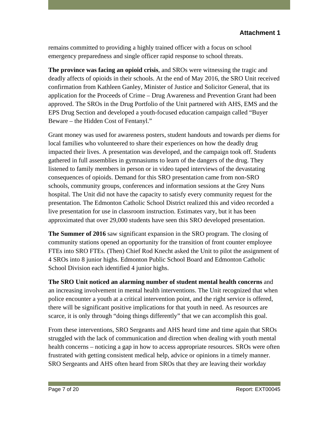remains committed to providing a highly trained officer with a focus on school emergency preparedness and single officer rapid response to school threats.

**The province was facing an opioid crisis**, and SROs were witnessing the tragic and deadly affects of opioids in their schools. At the end of May 2016, the SRO Unit received confirmation from Kathleen Ganley, Minister of Justice and Solicitor General, that its application for the Proceeds of Crime – Drug Awareness and Prevention Grant had been approved. The SROs in the Drug Portfolio of the Unit partnered with AHS, EMS and the EPS Drug Section and developed a youth-focused education campaign called "Buyer Beware – the Hidden Cost of Fentanyl."

Grant money was used for awareness posters, student handouts and towards per diems for local families who volunteered to share their experiences on how the deadly drug impacted their lives. A presentation was developed, and the campaign took off. Students gathered in full assemblies in gymnasiums to learn of the dangers of the drug. They listened to family members in person or in video taped interviews of the devastating consequences of opioids. Demand for this SRO presentation came from non-SRO schools, community groups, conferences and information sessions at the Grey Nuns hospital. The Unit did not have the capacity to satisfy every community request for the presentation. The Edmonton Catholic School District realized this and video recorded a live presentation for use in classroom instruction. Estimates vary, but it has been approximated that over 29,000 students have seen this SRO developed presentation.

**The Summer of 2016** saw significant expansion in the SRO program. The closing of community stations opened an opportunity for the transition of front counter employee FTEs into SRO FTEs. (Then) Chief Rod Knecht asked the Unit to pilot the assignment of 4 SROs into 8 junior highs. Edmonton Public School Board and Edmonton Catholic School Division each identified 4 junior highs.

**The SRO Unit noticed an alarming number of student mental health concerns** and an increasing involvement in mental health interventions. The Unit recognized that when police encounter a youth at a critical intervention point, and the right service is offered, there will be significant positive implications for that youth in need. As resources are scarce, it is only through "doing things differently" that we can accomplish this goal.

From these interventions, SRO Sergeants and AHS heard time and time again that SROs struggled with the lack of communication and direction when dealing with youth mental health concerns – noticing a gap in how to access appropriate resources. SROs were often frustrated with getting consistent medical help, advice or opinions in a timely manner. SRO Sergeants and AHS often heard from SROs that they are leaving their workday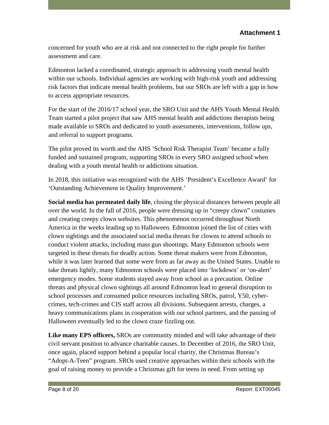concerned for youth who are at risk and not connected to the right people for further assessment and care.

Edmonton lacked a coordinated, strategic approach to addressing youth mental health within our schools. Individual agencies are working with high-risk youth and addressing risk factors that indicate mental health problems, but our SROs are left with a gap in how to access appropriate resources.

For the start of the 2016/17 school year, the SRO Unit and the AHS Youth Mental Health Team started a pilot project that saw AHS mental health and addictions therapists being made available to SROs and dedicated to youth assessments, interventions, follow ups, and referral to support programs.

The pilot proved its worth and the AHS 'School Risk Therapist Team' became a fully funded and sustained program, supporting SROs in every SRO assigned school when dealing with a youth mental health or addictions situation.

In 2018, this initiative was recognized with the AHS 'President's Excellence Award' for 'Outstanding Achievement in Quality Improvement.'

**Social media has permeated daily life**, closing the physical distances between people all over the world. In the fall of 2016, people were dressing up in "creepy clown" costumes and creating creepy clown websites. This phenomenon occurred throughout North America in the weeks leading up to Halloween. Edmonton joined the list of cities with clown sightings and the associated social media threats for clowns to attend schools to conduct violent attacks, including mass gun shootings. Many Edmonton schools were targeted in these threats for deadly action. Some threat makers were from Edmonton, while it was later learned that some were from as far away as the United States. Unable to take threats lightly, many Edmonton schools were placed into 'lockdown' or 'on-alert' emergency modes. Some students stayed away from school as a precaution. Online threats and physical clown sightings all around Edmonton lead to general disruption to school processes and consumed police resources including SROs, patrol, Y50, cybercrimes, tech-crimes and CIS staff across all divisions. Subsequent arrests, charges, a heavy communications plans in cooperation with our school partners, and the passing of Halloween eventually led to the clown craze fizzling out.

**Like many EPS officers,** SROs are community minded and will take advantage of their civil servant position to advance charitable causes. In December of 2016, the SRO Unit, once again, placed support behind a popular local charity, the Christmas Bureau's "Adopt-A-Teen" program. SROs used creative approaches within their schools with the goal of raising money to provide a Christmas gift for teens in need. From setting up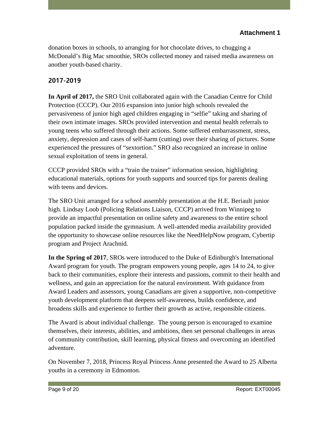donation boxes in schools, to arranging for hot chocolate drives, to chugging a McDonald's Big Mac smoothie, SROs collected money and raised media awareness on another youth-based charity.

### **2017-2019**

**In April of 2017,** the SRO Unit collaborated again with the Canadian Centre for Child Protection (CCCP). Our 2016 expansion into junior high schools revealed the pervasiveness of junior high aged children engaging in "selfie" taking and sharing of their own intimate images. SROs provided intervention and mental health referrals to young teens who suffered through their actions. Some suffered embarrassment, stress, anxiety, depression and cases of self-harm (cutting) over their sharing of pictures. Some experienced the pressures of "sextortion." SRO also recognized an increase in online sexual exploitation of teens in general.

CCCP provided SROs with a "train the trainer" information session, highlighting educational materials, options for youth supports and sourced tips for parents dealing with teens and devices.

The SRO Unit arranged for a school assembly presentation at the H.E. Beriault junior high. Lindsay Loob (Policing Relations Liaison, CCCP) arrived from Winnipeg to provide an impactful presentation on online safety and awareness to the entire school population packed inside the gymnasium. A well-attended media availability provided the opportunity to showcase online resources like the NeedHelpNow program, Cybertip program and Project Arachnid.

**In the Spring of 2017**, SROs were introduced to the Duke of Edinburgh's International Award program for youth. The program empowers young people, ages 14 to 24, to give back to their communities, explore their interests and passions, commit to their health and wellness, and gain an appreciation for the natural environment. With guidance from Award Leaders and assessors, young Canadians are given a supportive, non-competitive youth development platform that deepens self-awareness, builds confidence, and broadens skills and experience to further their growth as active, responsible citizens.

The Award is about individual challenge. The young person is encouraged to examine themselves, their interests, abilities, and ambitions, then set personal challenges in areas of community contribution, skill learning, physical fitness and overcoming an identified adventure.

On November 7, 2018, Princess Royal Princess Anne presented the Award to 25 Alberta youths in a ceremony in Edmonton.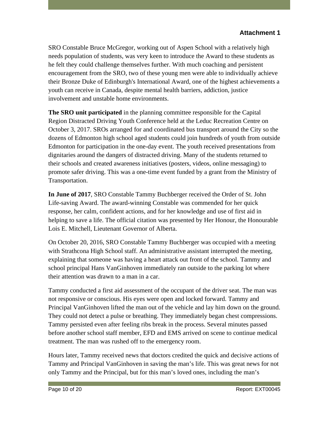SRO Constable Bruce McGregor, working out of Aspen School with a relatively high needs population of students, was very keen to introduce the Award to these students as he felt they could challenge themselves further. With much coaching and persistent encouragement from the SRO, two of these young men were able to individually achieve their Bronze Duke of Edinburgh's International Award, one of the highest achievements a youth can receive in Canada, despite mental health barriers, addiction, justice involvement and unstable home environments.

**The SRO unit participated** in the planning committee responsible for the Capital Region Distracted Driving Youth Conference held at the Leduc Recreation Centre on October 3, 2017. SROs arranged for and coordinated bus transport around the City so the dozens of Edmonton high school aged students could join hundreds of youth from outside Edmonton for participation in the one-day event. The youth received presentations from dignitaries around the dangers of distracted driving. Many of the students returned to their schools and created awareness initiatives (posters, videos, online messaging) to promote safer driving. This was a one-time event funded by a grant from the Ministry of Transportation.

**In June of 2017**, SRO Constable Tammy Buchberger received the Order of St. John Life-saving Award. The award-winning Constable was commended for her quick response, her calm, confident actions, and for her knowledge and use of first aid in helping to save a life. The official citation was presented by Her Honour, the Honourable Lois E. Mitchell, Lieutenant Governor of Alberta.

On October 20, 2016, SRO Constable Tammy Buchberger was occupied with a meeting with Strathcona High School staff. An administrative assistant interrupted the meeting, explaining that someone was having a heart attack out front of the school. Tammy and school principal Hans VanGinhoven immediately ran outside to the parking lot where their attention was drawn to a man in a car.

Tammy conducted a first aid assessment of the occupant of the driver seat. The man was not responsive or conscious. His eyes were open and locked forward. Tammy and Principal VanGinhoven lifted the man out of the vehicle and lay him down on the ground. They could not detect a pulse or breathing. They immediately began chest compressions. Tammy persisted even after feeling ribs break in the process. Several minutes passed before another school staff member, EFD and EMS arrived on scene to continue medical treatment. The man was rushed off to the emergency room.

Hours later, Tammy received news that doctors credited the quick and decisive actions of Tammy and Principal VanGinhoven in saving the man's life. This was great news for not only Tammy and the Principal, but for this man's loved ones, including the man's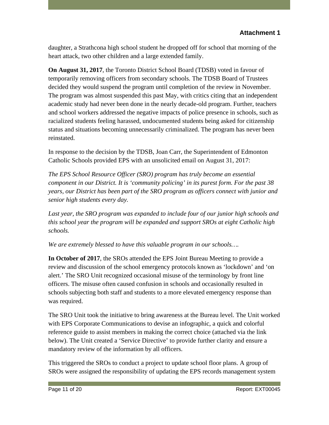daughter, a Strathcona high school student he dropped off for school that morning of the heart attack, two other children and a large extended family.

**On August 31, 2017**, the Toronto District School Board (TDSB) voted in favour of temporarily removing officers from secondary schools. The TDSB Board of Trustees decided they would suspend the program until completion of the review in November. The program was almost suspended this past May, with critics citing that an independent academic study had never been done in the nearly decade-old program. Further, teachers and school workers addressed the negative impacts of police presence in schools, such as racialized students feeling harassed, undocumented students being asked for citizenship status and situations becoming unnecessarily criminalized. The program has never been reinstated.

In response to the decision by the TDSB, Joan Carr, the Superintendent of Edmonton Catholic Schools provided EPS with an unsolicited email on August 31, 2017:

*The EPS School Resource Officer (SRO) program has truly become an essential component in our District. It is 'community policing' in its purest form. For the past 38 years, our District has been part of the SRO program as officers connect with junior and senior high students every day.*

Last year, the SRO program was expanded to include four of our junior high schools and *this school year the program will be expanded and support SROs at eight Catholic high schools.*

*We are extremely blessed to have this valuable program in our schools….*

**In October of 2017**, the SROs attended the EPS Joint Bureau Meeting to provide a review and discussion of the school emergency protocols known as 'lockdown' and 'on alert.' The SRO Unit recognized occasional misuse of the terminology by front line officers. The misuse often caused confusion in schools and occasionally resulted in schools subjecting both staff and students to a more elevated emergency response than was required.

The SRO Unit took the initiative to bring awareness at the Bureau level. The Unit worked with EPS Corporate Communications to devise an infographic, a quick and colorful reference guide to assist members in making the correct choice (attached via the link below). The Unit created a 'Service Directive' to provide further clarity and ensure a mandatory review of the information by all officers.

This triggered the SROs to conduct a project to update school floor plans. A group of SROs were assigned the responsibility of updating the EPS records management system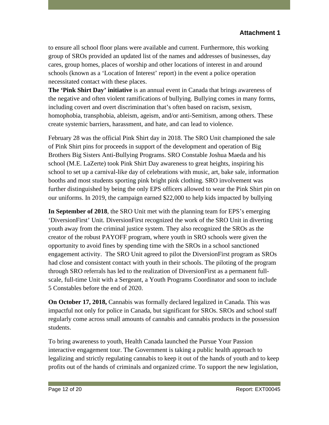to ensure all school floor plans were available and current. Furthermore, this working group of SROs provided an updated list of the names and addresses of businesses, day cares, group homes, places of worship and other locations of interest in and around schools (known as a 'Location of Interest' report) in the event a police operation necessitated contact with these places.

**The 'Pink Shirt Day' initiative** is an annual event in Canada that brings awareness of the negative and often violent ramifications of bullying. Bullying comes in many forms, including covert and overt discrimination that's often based on racism, sexism, homophobia, transphobia, ableism, ageism, and/or anti-Semitism, among others. These create systemic barriers, harassment, and hate, and can lead to violence.

February 28 was the official Pink Shirt day in 2018. The SRO Unit championed the sale of Pink Shirt pins for proceeds in support of the development and operation of Big Brothers Big Sisters Anti-Bullying Programs. SRO Constable Joshua Maeda and his school (M.E. LaZerte) took Pink Shirt Day awareness to great heights, inspiring his school to set up a carnival-like day of celebrations with music, art, bake sale, information booths and most students sporting pink bright pink clothing. SRO involvement was further distinguished by being the only EPS officers allowed to wear the Pink Shirt pin on our uniforms. In 2019, the campaign earned \$22,000 to help kids impacted by bullying

**In September of 2018**, the SRO Unit met with the planning team for EPS's emerging 'DiversionFirst' Unit. DiversionFirst recognized the work of the SRO Unit in diverting youth away from the criminal justice system. They also recognized the SROs as the creator of the robust PAYOFF program, where youth in SRO schools were given the opportunity to avoid fines by spending time with the SROs in a school sanctioned engagement activity. The SRO Unit agreed to pilot the DiversionFirst program as SROs had close and consistent contact with youth in their schools. The piloting of the program through SRO referrals has led to the realization of DiversionFirst as a permanent fullscale, full-time Unit with a Sergeant, a Youth Programs Coordinator and soon to include 5 Constables before the end of 2020.

**On October 17, 2018,** Cannabis was formally declared legalized in Canada. This was impactful not only for police in Canada, but significant for SROs. SROs and school staff regularly come across small amounts of cannabis and cannabis products in the possession students.

To bring awareness to youth, Health Canada launched the Pursue Your Passion interactive engagement tour. The Government is taking a public health approach to legalizing and strictly regulating cannabis to keep it out of the hands of youth and to keep profits out of the hands of criminals and organized crime. To support the new legislation,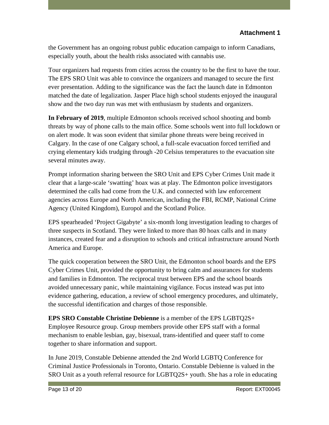the Government has an ongoing robust public education campaign to inform Canadians, especially youth, about the health risks associated with cannabis use.

Tour organizers had requests from cities across the country to be the first to have the tour. The EPS SRO Unit was able to convince the organizers and managed to secure the first ever presentation. Adding to the significance was the fact the launch date in Edmonton matched the date of legalization. Jasper Place high school students enjoyed the inaugural show and the two day run was met with enthusiasm by students and organizers.

**In February of 2019**, multiple Edmonton schools received school shooting and bomb threats by way of phone calls to the main office. Some schools went into full lockdown or on alert mode. It was soon evident that similar phone threats were being received in Calgary. In the case of one Calgary school, a full-scale evacuation forced terrified and crying elementary kids trudging through -20 Celsius temperatures to the evacuation site several minutes away.

Prompt information sharing between the SRO Unit and EPS Cyber Crimes Unit made it clear that a large-scale 'swatting' hoax was at play. The Edmonton police investigators determined the calls had come from the U.K. and connected with law enforcement agencies across Europe and North American, including the FBI, RCMP, National Crime Agency (United Kingdom), Europol and the Scotland Police.

EPS spearheaded 'Project Gigabyte' a six-month long investigation leading to charges of three suspects in Scotland. They were linked to more than 80 hoax calls and in many instances, created fear and a disruption to schools and critical infrastructure around North America and Europe.

The quick cooperation between the SRO Unit, the Edmonton school boards and the EPS Cyber Crimes Unit, provided the opportunity to bring calm and assurances for students and families in Edmonton. The reciprocal trust between EPS and the school boards avoided unnecessary panic, while maintaining vigilance. Focus instead was put into evidence gathering, education, a review of school emergency procedures, and ultimately, the successful identification and charges of those responsible.

**EPS SRO Constable Christine Debienne** is a member of the EPS LGBTQ2S+ Employee Resource group. Group members provide other EPS staff with a formal mechanism to enable lesbian, gay, bisexual, trans-identified and queer staff to come together to share information and support.

In June 2019, Constable Debienne attended the 2nd World LGBTQ Conference for Criminal Justice Professionals in Toronto, Ontario. Constable Debienne is valued in the SRO Unit as a youth referral resource for LGBTQ2S+ youth. She has a role in educating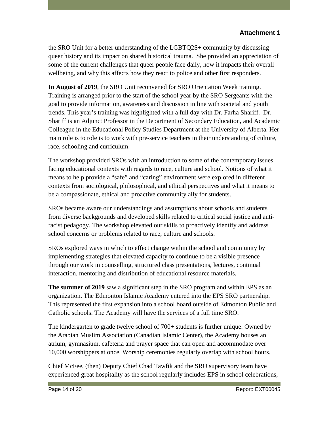the SRO Unit for a better understanding of the LGBTQ2S+ community by discussing queer history and its impact on shared historical trauma. She provided an appreciation of some of the current challenges that queer people face daily, how it impacts their overall wellbeing, and why this affects how they react to police and other first responders.

**In August of 2019**, the SRO Unit reconvened for SRO Orientation Week training. Training is arranged prior to the start of the school year by the SRO Sergeants with the goal to provide information, awareness and discussion in line with societal and youth trends. This year's training was highlighted with a full day with Dr. Farha Shariff. Dr. Shariff is an Adjunct Professor in the Department of Secondary Education, and Academic Colleague in the Educational Policy Studies Department at the University of Alberta. Her main role is to role is to work with pre-service teachers in their understanding of culture, race, schooling and curriculum.

The workshop provided SROs with an introduction to some of the contemporary issues facing educational contexts with regards to race, culture and school. Notions of what it means to help provide a "safe" and "caring" environment were explored in different contexts from sociological, philosophical, and ethical perspectives and what it means to be a compassionate, ethical and proactive community ally for students.

SROs became aware our understandings and assumptions about schools and students from diverse backgrounds and developed skills related to critical social justice and antiracist pedagogy. The workshop elevated our skills to proactively identify and address school concerns or problems related to race, culture and schools.

SROs explored ways in which to effect change within the school and community by implementing strategies that elevated capacity to continue to be a visible presence through our work in counselling, structured class presentations, lectures, continual interaction, mentoring and distribution of educational resource materials.

**The summer of 2019** saw a significant step in the SRO program and within EPS as an organization. The Edmonton Islamic Academy entered into the EPS SRO partnership. This represented the first expansion into a school board outside of Edmonton Public and Catholic schools. The Academy will have the services of a full time SRO.

The kindergarten to grade twelve school of 700+ students is further unique. Owned by the Arabian Muslim Association (Canadian Islamic Center), the Academy houses an atrium, gymnasium, cafeteria and prayer space that can open and accommodate over 10,000 worshippers at once. Worship ceremonies regularly overlap with school hours.

Chief McFee, (then) Deputy Chief Chad Tawfik and the SRO supervisory team have experienced great hospitality as the school regularly includes EPS in school celebrations,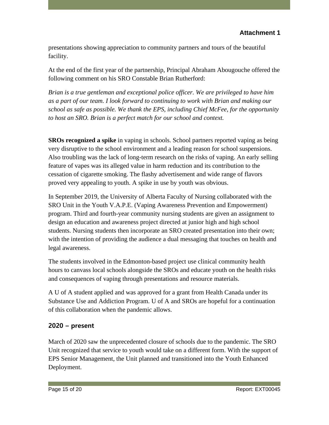presentations showing appreciation to community partners and tours of the beautiful facility.

At the end of the first year of the partnership, Principal Abraham Abougouche offered the following comment on his SRO Constable Brian Rutherford:

*Brian is a true gentleman and exceptional police officer. We are privileged to have him as a part of our team. I look forward to continuing to work with Brian and making our school as safe as possible. We thank the EPS, including Chief McFee, for the opportunity to host an SRO. Brian is a perfect match for our school and context.* 

**SROs recognized a spike** in vaping in schools. School partners reported vaping as being very disruptive to the school environment and a leading reason for school suspensions. Also troubling was the lack of long-term research on the risks of vaping. An early selling feature of vapes was its alleged value in harm reduction and its contribution to the cessation of cigarette smoking. The flashy advertisement and wide range of flavors proved very appealing to youth. A spike in use by youth was obvious.

In September 2019, the University of Alberta Faculty of Nursing collaborated with the SRO Unit in the Youth V.A.P.E. (Vaping Awareness Prevention and Empowerment) program. Third and fourth-year community nursing students are given an assignment to design an education and awareness project directed at junior high and high school students. Nursing students then incorporate an SRO created presentation into their own; with the intention of providing the audience a dual messaging that touches on health and legal awareness.

The students involved in the Edmonton-based project use clinical community health hours to canvass local schools alongside the SROs and educate youth on the health risks and consequences of vaping through presentations and resource materials.

A U of A student applied and was approved for a grant from Health Canada under its Substance Use and Addiction Program. U of A and SROs are hopeful for a continuation of this collaboration when the pandemic allows.

## **2020 – present**

March of 2020 saw the unprecedented closure of schools due to the pandemic. The SRO Unit recognized that service to youth would take on a different form. With the support of EPS Senior Management, the Unit planned and transitioned into the Youth Enhanced Deployment.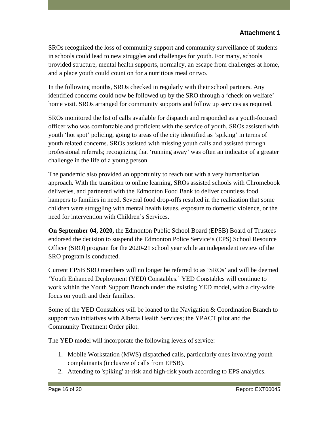SROs recognized the loss of community support and community surveillance of students in schools could lead to new struggles and challenges for youth. For many, schools provided structure, mental health supports, normalcy, an escape from challenges at home, and a place youth could count on for a nutritious meal or two.

In the following months, SROs checked in regularly with their school partners. Any identified concerns could now be followed up by the SRO through a 'check on welfare' home visit. SROs arranged for community supports and follow up services as required.

SROs monitored the list of calls available for dispatch and responded as a youth-focused officer who was comfortable and proficient with the service of youth. SROs assisted with youth 'hot spot' policing, going to areas of the city identified as 'spiking' in terms of youth related concerns. SROs assisted with missing youth calls and assisted through professional referrals; recognizing that 'running away' was often an indicator of a greater challenge in the life of a young person.

The pandemic also provided an opportunity to reach out with a very humanitarian approach. With the transition to online learning, SROs assisted schools with Chromebook deliveries, and partnered with the Edmonton Food Bank to deliver countless food hampers to families in need. Several food drop-offs resulted in the realization that some children were struggling with mental health issues, exposure to domestic violence, or the need for intervention with Children's Services.

**On September 04, 2020,** the Edmonton Public School Board (EPSB) Board of Trustees endorsed the decision to suspend the Edmonton Police Service's (EPS) School Resource Officer (SRO) program for the 2020-21 school year while an independent review of the SRO program is conducted.

Current EPSB SRO members will no longer be referred to as 'SROs' and will be deemed 'Youth Enhanced Deployment (YED) Constables.' YED Constables will continue to work within the Youth Support Branch under the existing YED model, with a city-wide focus on youth and their families.

Some of the YED Constables will be loaned to the Navigation & Coordination Branch to support two initiatives with Alberta Health Services; the YPACT pilot and the Community Treatment Order pilot.

The YED model will incorporate the following levels of service:

- 1. Mobile Workstation (MWS) dispatched calls, particularly ones involving youth complainants (inclusive of calls from EPSB).
- 2. Attending to 'spiking' at-risk and high-risk youth according to EPS analytics.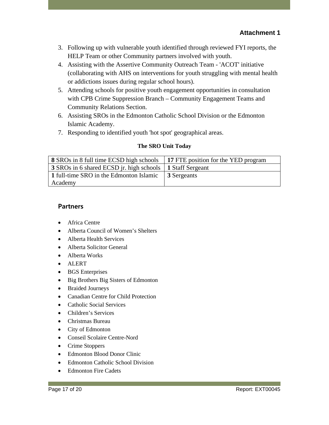- 3. Following up with vulnerable youth identified through reviewed FYI reports, the HELP Team or other Community partners involved with youth.
- 4. Assisting with the Assertive Community Outreach Team 'ACOT' initiative (collaborating with AHS on interventions for youth struggling with mental health or addictions issues during regular school hours).
- 5. Attending schools for positive youth engagement opportunities in consultation with CPB Crime Suppression Branch – Community Engagement Teams and Community Relations Section.
- 6. Assisting SROs in the Edmonton Catholic School Division or the Edmonton Islamic Academy.
- 7. Responding to identified youth 'hot spot' geographical areas.

#### **The SRO Unit Today**

| <b>8</b> SROs in 8 full time ECSD high schools 17 FTE position for the YED program |             |
|------------------------------------------------------------------------------------|-------------|
| <b>3 SROs in 6 shared ECSD jr. high schools 1 Staff Sergeant</b>                   |             |
| 1 full-time SRO in the Edmonton Islamic                                            | 3 Sergeants |
| Academy                                                                            |             |

#### **Partners**

- Africa Centre
- Alberta Council of Women's Shelters
- Alberta Health Services
- Alberta Solicitor General
- Alberta Works
- ALERT
- BGS Enterprises
- Big Brothers Big Sisters of Edmonton
- Braided Journeys
- Canadian Centre for Child Protection
- Catholic Social Services
- Children's Services
- Christmas Bureau
- City of Edmonton
- Conseil Scolaire Centre-Nord
- Crime Stoppers
- Edmonton Blood Donor Clinic
- Edmonton Catholic School Division
- Edmonton Fire Cadets